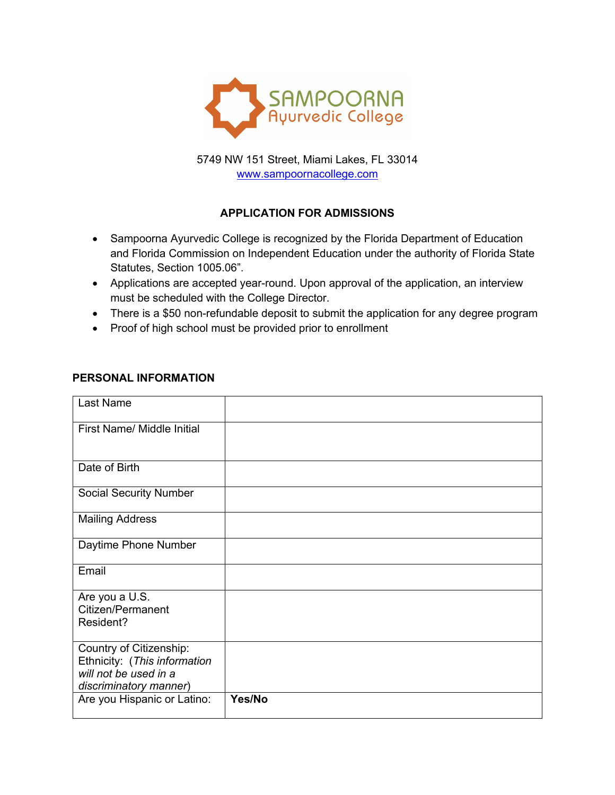

5749 NW 151 Street, Miami Lakes, FL 33014 www.sampoornacollege.com

# **APPLICATION FOR ADMISSIONS**

- Sampoorna Ayurvedic College is recognized by the Florida Department of Education and Florida Commission on Independent Education under the authority of Florida State Statutes, Section 1005.06".
- Applications are accepted year-round. Upon approval of the application, an interview must be scheduled with the College Director.
- There is a \$50 non-refundable deposit to submit the application for any degree program
- Proof of high school must be provided prior to enrollment

#### **PERSONAL INFORMATION**

| Last Name                                               |        |
|---------------------------------------------------------|--------|
| First Name/ Middle Initial                              |        |
| Date of Birth                                           |        |
| <b>Social Security Number</b>                           |        |
| <b>Mailing Address</b>                                  |        |
| Daytime Phone Number                                    |        |
| Email                                                   |        |
| Are you a U.S.<br>Citizen/Permanent<br>Resident?        |        |
| Country of Citizenship:<br>Ethnicity: (This information |        |
| will not be used in a<br>discriminatory manner)         |        |
| Are you Hispanic or Latino:                             | Yes/No |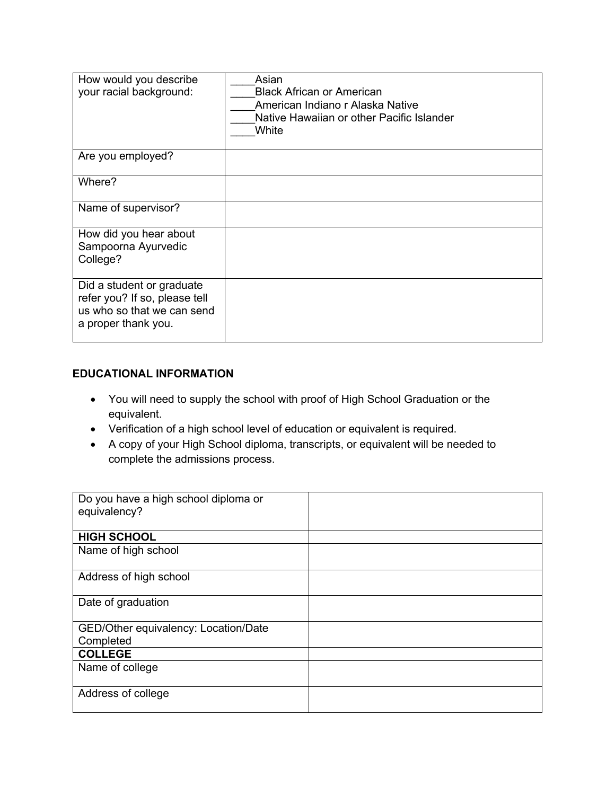| How would you describe<br>your racial background:                                                               | Asian<br><b>Black African or American</b><br>American Indiano r Alaska Native<br>Native Hawaiian or other Pacific Islander<br>White |
|-----------------------------------------------------------------------------------------------------------------|-------------------------------------------------------------------------------------------------------------------------------------|
| Are you employed?                                                                                               |                                                                                                                                     |
| Where?                                                                                                          |                                                                                                                                     |
| Name of supervisor?                                                                                             |                                                                                                                                     |
| How did you hear about<br>Sampoorna Ayurvedic<br>College?                                                       |                                                                                                                                     |
| Did a student or graduate<br>refer you? If so, please tell<br>us who so that we can send<br>a proper thank you. |                                                                                                                                     |

#### **EDUCATIONAL INFORMATION**

- You will need to supply the school with proof of High School Graduation or the equivalent.
- Verification of a high school level of education or equivalent is required.
- A copy of your High School diploma, transcripts, or equivalent will be needed to complete the admissions process.

| Do you have a high school diploma or |  |
|--------------------------------------|--|
| equivalency?                         |  |
|                                      |  |
| <b>HIGH SCHOOL</b>                   |  |
| Name of high school                  |  |
|                                      |  |
| Address of high school               |  |
|                                      |  |
| Date of graduation                   |  |
|                                      |  |
| GED/Other equivalency: Location/Date |  |
| Completed                            |  |
| <b>COLLEGE</b>                       |  |
| Name of college                      |  |
|                                      |  |
| Address of college                   |  |
|                                      |  |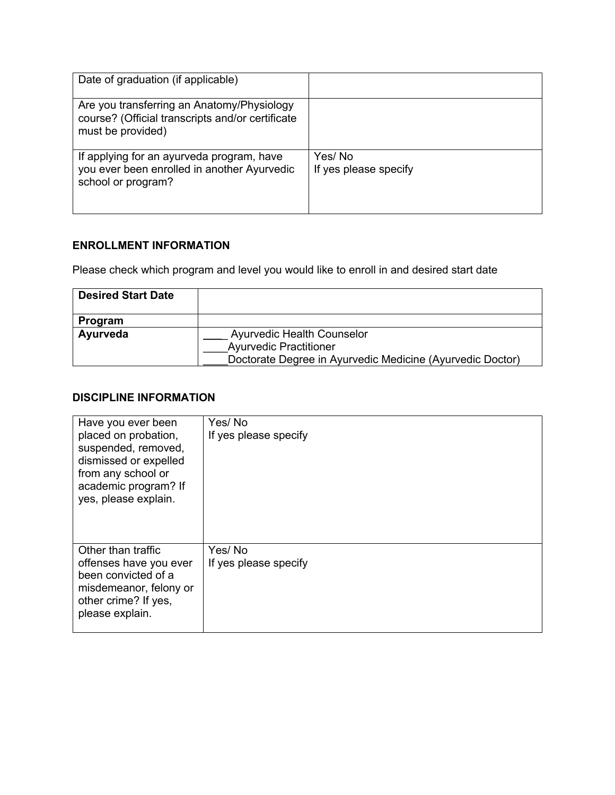| Date of graduation (if applicable)                                                                                  |                                 |
|---------------------------------------------------------------------------------------------------------------------|---------------------------------|
| Are you transferring an Anatomy/Physiology<br>course? (Official transcripts and/or certificate<br>must be provided) |                                 |
| If applying for an ayurveda program, have<br>you ever been enrolled in another Ayurvedic<br>school or program?      | Yes/No<br>If yes please specify |

## **ENROLLMENT INFORMATION**

Please check which program and level you would like to enroll in and desired start date

| <b>Desired Start Date</b> |                                                           |
|---------------------------|-----------------------------------------------------------|
| Program                   |                                                           |
| Ayurveda                  | Ayurvedic Health Counselor                                |
|                           | <b>Ayurvedic Practitioner</b>                             |
|                           | Doctorate Degree in Ayurvedic Medicine (Ayurvedic Doctor) |

### **DISCIPLINE INFORMATION**

| Have you ever been<br>placed on probation,<br>suspended, removed,<br>dismissed or expelled<br>from any school or<br>academic program? If<br>yes, please explain. | Yes/No<br>If yes please specify |
|------------------------------------------------------------------------------------------------------------------------------------------------------------------|---------------------------------|
| Other than traffic<br>offenses have you ever<br>been convicted of a<br>misdemeanor, felony or<br>other crime? If yes,<br>please explain.                         | Yes/No<br>If yes please specify |